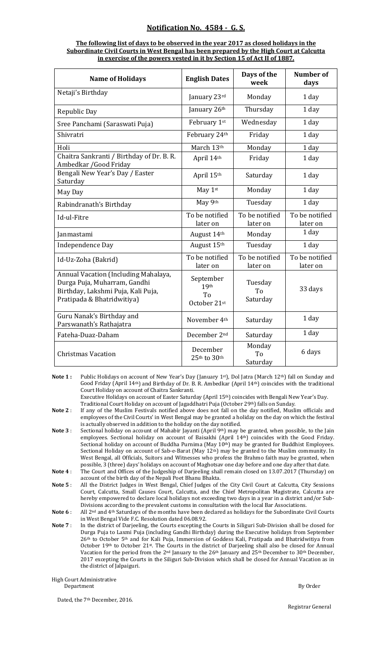## **Notification No. 4584 G. S.**

## **The following list of days to be observed in the year 2017 as closed holidays in the Subordinate Civil Courts in West Bengal has been prepared by the High Court at Calcutta in exercise of the powers vested in it by Section 15 of Act II of 1887.**

| <b>Name of Holidays</b>                                                                                                                  | <b>English Dates</b>                                | Days of the<br>week        | <b>Number of</b><br>days   |
|------------------------------------------------------------------------------------------------------------------------------------------|-----------------------------------------------------|----------------------------|----------------------------|
| Netaji's Birthday                                                                                                                        | January 23rd                                        | Monday                     | 1 day                      |
| Republic Day                                                                                                                             | January 26th                                        | Thursday                   | 1 day                      |
| Sree Panchami (Saraswati Puja)                                                                                                           | February 1st                                        | Wednesday                  | 1 day                      |
| Shivratri                                                                                                                                | February 24th                                       | Friday                     | 1 day                      |
| Holi                                                                                                                                     | March 13th                                          | Monday                     | 1 day                      |
| Chaitra Sankranti / Birthday of Dr. B. R.<br>Ambedkar / Good Friday                                                                      | April 14th                                          | Friday                     | 1 day                      |
| Bengali New Year's Day / Easter<br>Saturday                                                                                              | April 15th                                          | Saturday                   | 1 day                      |
| May Day                                                                                                                                  | May 1st                                             | Monday                     | 1 day                      |
| Rabindranath's Birthday                                                                                                                  | May 9th                                             | Tuesday                    | 1 day                      |
| Id-ul-Fitre                                                                                                                              | To be notified<br>later on                          | To be notified<br>later on | To be notified<br>later on |
| Janmastami                                                                                                                               | August 14th                                         | Monday                     | 1 day                      |
| Independence Day                                                                                                                         | August 15th                                         | Tuesday                    | 1 day                      |
| Id-Uz-Zoha (Bakrid)                                                                                                                      | To be notified<br>later on                          | To be notified<br>later on | To be notified<br>later on |
| Annual Vacation (Including Mahalaya,<br>Durga Puja, Muharram, Gandhi<br>Birthday, Lakshmi Puja, Kali Puja,<br>Pratipada & Bhatridwitiya) | September<br>19th<br>T <sub>0</sub><br>October 21st | Tuesday<br>To<br>Saturday  | 33 days                    |
| Guru Nanak's Birthday and<br>Parswanath's Rathajatra                                                                                     | November 4th                                        | Saturday                   | 1 day                      |
| Fateha-Duaz-Daham                                                                                                                        | December 2 <sup>nd</sup>                            | Saturday                   | 1 day                      |
| <b>Christmas Vacation</b>                                                                                                                | December<br>25th to 30th                            | Monday<br>To<br>Saturday   | 6 days                     |

**Note 1 :** Public Holidays on account of New Year's Day (January 1st), Dol Jatra (March 12th) fall on Sunday and Good Friday (April 14th) and Birthday of Dr. B. R. Ambedkar (April 14th) coincides with the traditional Court Holiday on account of Chaitra Sankranti.

Executive Holidays on account of Easter Saturday (April 15th) coincides with Bengali New Year's Day. Traditional Court Holiday on account of Jagaddhatri Puja (October 29th) falls on Sunday.

Note 2 : If any of the Muslim Festivals notified above does not fall on the day notified, Muslim officials and employees of the Civil Courts' in West Bengal may be granted a holiday on the day on which the festival is actually observed in addition to the holiday on the day notified.

- **Note 3** : Sectional holiday on account of Mahabir Jayanti (April 9th) may be granted, when possible, to the Jain employees. Sectional holiday on account of Baisakhi (April 14<sup>th</sup>) coincides with the Good Friday. Sectional holiday on account of Buddha Purnima (May  $10<sup>th</sup>$ ) may be granted for Buddhist Employees. Sectional Holiday on account of Sab-e-Barat (May 12<sup>th</sup>) may be granted to the Muslim community. In West Bengal, all Officials, Suitors and Witnesses who profess the Brahmo faith may be granted, when possible, 3 (three) days' holidays on account of Maghotsav one day before and one day after that date.
- **Note 4** : The Court and Offices of the Judgeship of Darjeeling shall remain closed on 13.07.2017 (Thursday) on account of the birth day of the Nepali Poet Bhanu Bhakta.
- Note 5: All the District Judges in West Bengal, Chief Judges of the City Civil Court at Calcutta, City Sessions Court, Calcutta, Small Causes Court, Calcutta, and the Chief Metropolitan Magistrate, Calcutta are hereby empowered to declare local holidays not exceeding two days in a year in a district and/or Sub‐ Divisions according to the prevalent customs in consultation with the local Bar Associations.

**Note 6** : All 2nd and 4th Saturdays of the months have been declared as holidays for the Subordinate Civil Courts in West Bengal Vide F.C. Resolution dated 06.08.92.

**Note 7** : In the district of Darjeeling, the Courts excepting the Courts in Siliguri Sub‐Division shall be closed for Durga Puja to Laxmi Puja (including Gandhi Birthday) during the Executive holidays from September 26th to October 5th and for Kali Puja, Immersion of Goddess Kali, Pratipada and Bhatridwitiya from October 19th to October 21st. The Courts in the district of Darjeeling shall also be closed for Annual Vacation for the period from the 2<sup>nd</sup> January to the 26<sup>th</sup> January and 25<sup>th</sup> December to 30<sup>th</sup> December, 2017 excepting the Courts in the Siliguri Sub‐Division which shall be closed for Annual Vacation as in the district of Jalpaiguri.

High Court Administrative

Department By Order and the set of the set of the set of the set of the set of the set of the set of the set of the set of the set of the set of the set of the set of the set of the set of the set of the set of the set of

Dated, the 7<sup>th</sup> December, 2016.